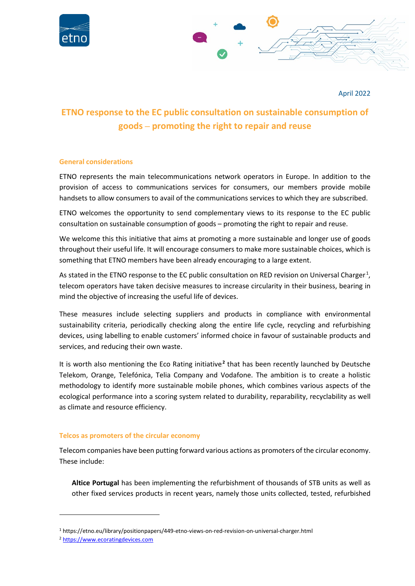



April 2022

# **ETNO response to the EC public consultation on sustainable consumption of goods – promoting the right to repair and reuse**

## **General considerations**

ETNO represents the main telecommunications network operators in Europe. In addition to the provision of access to communications services for consumers, our members provide mobile handsets to allow consumers to avail of the communications services to which they are subscribed.

ETNO welcomes the opportunity to send complementary views to its response to the EC public consultation on sustainable consumption of goods – promoting the right to repair and reuse.

We welcome this this initiative that aims at promoting a more sustainable and longer use of goods throughout their useful life. It will encourage consumers to make more sustainable choices, which is something that ETNO members have been already encouraging to a large extent.

As stated in the ETNO response to the EC public consultation on RED revision on Universal Charger.<sup>1</sup>, telecom operators have taken decisive measures to increase circularity in their business, bearing in mind the objective of increasing the useful life of devices.

These measures include selecting suppliers and products in compliance with environmental sustainability criteria, periodically checking along the entire life cycle, recycling and refurbishing devices, using labelling to enable customers' informed choice in favour of sustainable products and services, and reducing their own waste.

It is worth also mentioning the Eco Rating initiative.<sup>2</sup> that has been recently launched by Deutsche Telekom, Orange, Telefónica, Telia Company and Vodafone. The ambition is to create a holistic methodology to identify more sustainable mobile phones, which combines various aspects of the ecological performance into a scoring system related to durability, reparability, recyclability as well as climate and resource efficiency.

# **Telcos as promoters of the circular economy**

Telecom companies have been putting forward various actions as promoters of the circular economy. These include:

**Altice Portugal** has been implementing the refurbishment of thousands of STB units as well as other fixed services products in recent years, namely those units collected, tested, refurbished

<sup>1</sup> <https://etno.eu/library/positionpapers/449-etno-views-on-red-revision-on-universal-charger.html>

<sup>2</sup> [https://www.ecoratingdevices.com](https://www.ecoratingdevices.com/)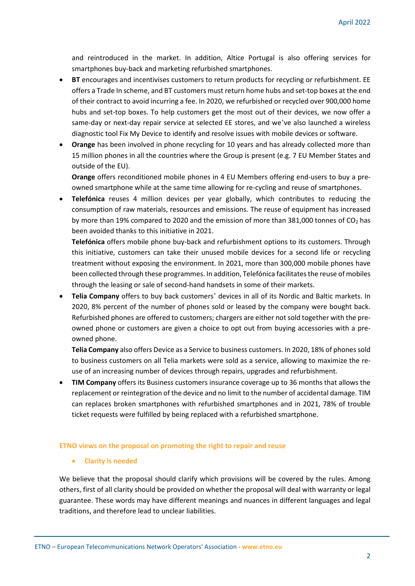and reintroduced in the market. In addition, Altice Portugal is also offering services for smartphones buy-back and marketing refurbished smartphones.

- **BT** encourages and incentivises customers to return products for recycling or refurbishment. EE offers a Trade In scheme, and BT customers must return home hubs and set-top boxes at the end of their contract to avoid incurring a fee. In 2020, we refurbished or recycled over 900,000 home hubs and set-top boxes. To help customers get the most out of their devices, we now offer a same-day or next-day repair service at selected EE stores, and we've also launched a wireless diagnostic tool Fix My Device to identify and resolve issues with mobile devices or software.
- **Orange** has been involved in phone recycling for 10 years and has already collected more than 15 million phones in all the countries where the Group is present (e.g. 7 EU Member States and outside of the EU).

**Orange** offers reconditioned mobile phones in 4 EU Members offering end-users to buy a preowned smartphone while at the same time allowing for re-cycling and reuse of smartphones.

• **Telefónica** reuses 4 million devices per year globally, which contributes to reducing the consumption of raw materials, resources and emissions. The reuse of equipment has increased by more than 19% compared to 2020 and the emission of more than  $381,000$  tonnes of CO<sub>2</sub> has been avoided thanks to this initiative in 2021.

**Telefónica** offers mobile phone buy-back and refurbishment options to its customers. Through this initiative, customers can take their unused mobile devices for a second life or recycling treatment without exposing the environment. In 2021, more than 300,000 mobile phones have been collected through these programmes. In addition, Telefónica facilitates the reuse of mobiles through the leasing or sale of second-hand handsets in some of their markets.

• **Telia Company** offers to buy back customers' devices in all of its Nordic and Baltic markets. In 2020, 8% percent of the number of phones sold or leased by the company were bought back. Refurbished phones are offered to customers; chargers are either not sold together with the preowned phone or customers are given a choice to opt out from buying accessories with a preowned phone.

**Telia Company** also offers Device as a Service to business customers. In 2020, 18% of phones sold to business customers on all Telia markets were sold as a service, allowing to maximize the reuse of an increasing number of devices through repairs, upgrades and refurbishment.

• **TIM Company** offers its Business customers insurance coverage up to 36 months that allows the replacement or reintegration of the device and no limit to the number of accidental damage. TIM can replaces broken smartphones with refurbished smartphones and in 2021, 78% of trouble ticket requests were fulfilled by being replaced with a refurbished smartphone.

#### **ETNO views on the proposal on promoting the right to repair and reuse**

• **Clarity is needed**

We believe that the proposal should clarify which provisions will be covered by the rules. Among others, first of all clarity should be provided on whether the proposal will deal with warranty or legal guarantee. These words may have different meanings and nuances in different languages and legal traditions, and therefore lead to unclear liabilities.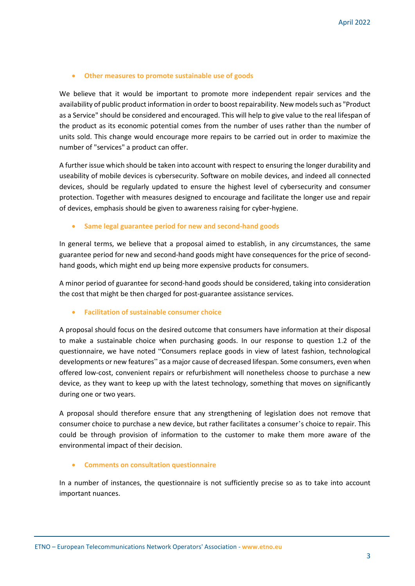## • **Other measures to promote sustainable use of goods**

We believe that it would be important to promote more independent repair services and the availability of public product information in order to boost repairability. New models such as "Product as a Service" should be considered and encouraged. This will help to give value to the real lifespan of the product as its economic potential comes from the number of uses rather than the number of units sold. This change would encourage more repairs to be carried out in order to maximize the number of "services" a product can offer.

A further issue which should be taken into account with respect to ensuring the longer durability and useability of mobile devices is cybersecurity. Software on mobile devices, and indeed all connected devices, should be regularly updated to ensure the highest level of cybersecurity and consumer protection. Together with measures designed to encourage and facilitate the longer use and repair of devices, emphasis should be given to awareness raising for cyber-hygiene.

## • **Same legal guarantee period for new and second-hand goods**

In general terms, we believe that a proposal aimed to establish, in any circumstances, the same guarantee period for new and second-hand goods might have consequences for the price of secondhand goods, which might end up being more expensive products for consumers.

A minor period of guarantee for second-hand goods should be considered, taking into consideration the cost that might be then charged for post-guarantee assistance services.

#### • **Facilitation of sustainable consumer choice**

A proposal should focus on the desired outcome that consumers have information at their disposal to make a sustainable choice when purchasing goods. In our response to question 1.2 of the questionnaire, we have noted "Consumers replace goods in view of latest fashion, technological developments or new features" as a major cause of decreased lifespan. Some consumers, even when offered low-cost, convenient repairs or refurbishment will nonetheless choose to purchase a new device, as they want to keep up with the latest technology, something that moves on significantly during one or two years.

A proposal should therefore ensure that any strengthening of legislation does not remove that consumer choice to purchase a new device, but rather facilitates a consumer's choice to repair. This could be through provision of information to the customer to make them more aware of the environmental impact of their decision.

#### • **Comments on consultation questionnaire**

In a number of instances, the questionnaire is not sufficiently precise so as to take into account important nuances.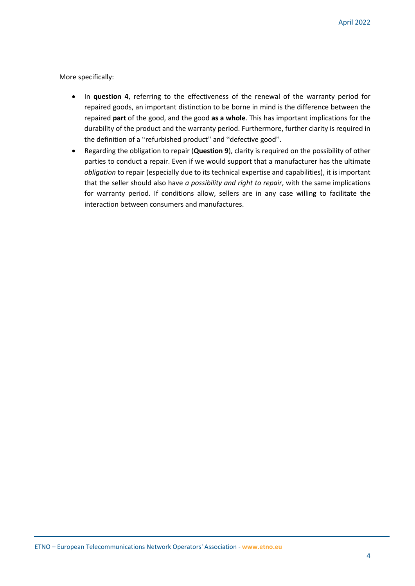More specifically:

- In **question 4**, referring to the effectiveness of the renewal of the warranty period for repaired goods, an important distinction to be borne in mind is the difference between the repaired **part** of the good, and the good **as a whole**. This has important implications for the durability of the product and the warranty period. Furthermore, further clarity is required in the definition of a "refurbished product" and "defective good".
- Regarding the obligation to repair (**Question 9**), clarity is required on the possibility of other parties to conduct a repair. Even if we would support that a manufacturer has the ultimate *obligation* to repair (especially due to its technical expertise and capabilities), it is important that the seller should also have *a possibility and right to repair*, with the same implications for warranty period. If conditions allow, sellers are in any case willing to facilitate the interaction between consumers and manufactures.